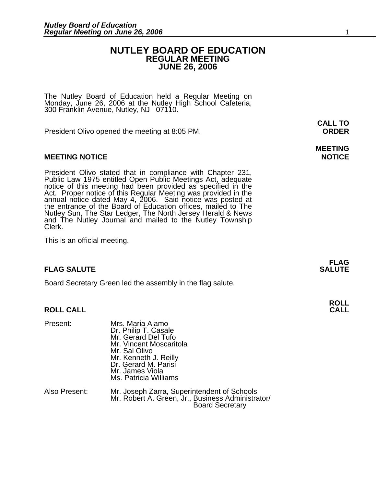#### **NUTLEY BOARD OF EDUCATION REGULAR MEETING JUNE 26, 2006**

The Nutley Board of Education held a Regular Meeting on Monday, June 26, 2006 at the Nutley High School Cafeteria, 300 Franklin Avenue, Nutley, NJ 07110.

President Olivo opened the meeting at 8:05 PM. **ORDER**

#### **MEETING NOTICE NOTICE AND RESERVE ASSESS**

President Olivo stated that in compliance with Chapter 231,<br>Public Law 1975 entitled Open Public Meetings Act, adequate<br>notice of this meeting had been provided as specified in the<br>Act. Proper notice of this Regular Meetin annual notice dated May 4, 2006. Said notice was posted at<br>the entrance of the Board of Education offices, mailed to The Nutley Sun, The Star Ledger, The North Jersey Herald & News and The Nutley Journal and mailed to the Nutley Township Clerk.

This is an official meeting.

#### **FLAG SALUTE SALUTE SALUTE**

Board Secretary Green led the assembly in the flag salute.

#### **ROLL CALL**

| Present:      | Mrs. Maria Alamo<br>Dr. Philip T. Casale<br>Mr. Gerard Del Tufo<br>Mr. Vincent Moscaritola<br>Mr. Sal Olivo<br>Mr. Kenneth J. Reilly<br>Dr. Gerard M. Parisí<br>Mr. James Viola<br>Ms. Patricia Williams |
|---------------|----------------------------------------------------------------------------------------------------------------------------------------------------------------------------------------------------------|
| Also Present: | Mr. Joseph Zarra, Superintendent of Schools<br>Mr. Robert A. Green, Jr., Business Administrator/<br><b>Board Secretary</b>                                                                               |

### **MEETING**

**FLAG** 

# **ROLL**

**CALL TO**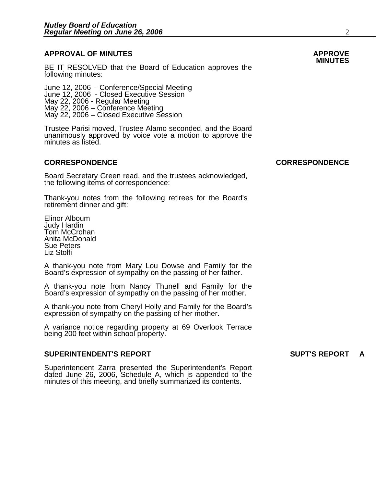### **APPROVAL OF MINUTES APPROVE**

BE IT RESOLVED that the Board of Education approves the following minutes:

 June 12, 2006 - Conference/Special Meeting June 12, 2006 - Closed Executive Session May 22, 2006 - Regular Meeting May 22, 2006 – Conference Meeting May 22, 2006 – Closed Executive Session

> Trustee Parisi moved, Trustee Alamo seconded, and the Board unanimously approved by voice vote a motion to approve the minutes as listed.

#### **CORRESPONDENCE CORRESPONDENCE**

Board Secretary Green read, and the trustees acknowledged, the following items of correspondence:

Thank-you notes from the following retirees for the Board's retirement dinner and gift:

Elinor Alboum Judy Hardin Tom McCrohan Anita McDonald Sue Peters Liz Stolfi

A thank-you note from Mary Lou Dowse and Family for the Board's expression of sympathy on the passing of her father.

A thank-you note from Nancy Thunell and Family for the Board's expression of sympathy on the passing of her mother.

A thank-you note from Cheryl Holly and Family for the Board's expression of sympathy on the passing of her mother.

A variance notice regarding property at 69 Overlook Terrace being 200 feet within school property.

#### **SUPERINTENDENT'S REPORT SUPT'S REPORT A**

Superintendent Zarra presented the Superintendent's Report dated June 26, 2006, Schedule A, which is appended to the minutes of this meeting, and briefly summarized its contents.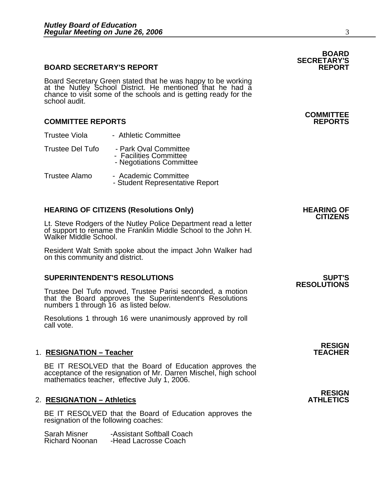#### **BOARD SECRETARY'S REPORT**

Board Secretary Green stated that he was happy to be working<br>at the Nutley School District. He mentioned that he had a chance to visit some of the schools and is getting ready for the<br>school audit.

#### **COMMITTEE REPORTS REPORTS**

- Trustee Viola Athletic Committee
- Trustee Del Tufo Park Oval Committee - Facilities Committee
	- Negotiations Committee
- Trustee Alamo Academic Committee<br>- Student Representative Report

**HEARING OF CITIZENS (Resolutions Only)** HEARING OF CITIZENS<br>CITIZENS<br>Lt. Steve Rodgers of the Nutley Police Department read a letter of support to rename the Franklin Middle School to the John H. Walker Middle School.

Resident Walt Smith spoke about the impact John Walker had on this community and district.

#### **SUPERINTENDENT'S RESOLUTIONS SUPT'S**

Trustee Del Tufo moved, Trustee Parisi seconded, a motion that the Board approves the Superintendent's Resolutions numbers 1 through 16 as listed below.

Resolutions 1 through 16 were unanimously approved by roll call vote.

#### 1. **RESIGNATION – Teacher**

BE IT RESOLVED that the Board of Education approves the acceptance of the resignation of Mr. Darren Mischel, high school mathematics teacher, effective July 1, 2006.

#### **2. RESIGNATION – Athletics**

BE IT RESOLVED that the Board of Education approves the resignation of the following coaches:

Sarah Misner - Assistant Softball Coach<br>Richard Noonan - Head Lacrosse Coach -Head Lacrosse Coach

### **BOARD SECRETARY'S**

### **COMMITTEE**

### **RESOLUTIONS**

**RESIGN** 

### **RESIGN<br>ATHLETICS**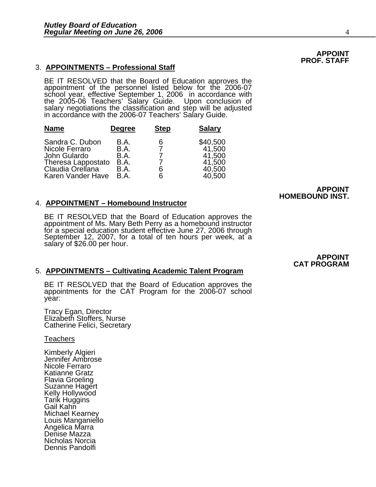#### 3. **APPOINTMENTS – Professional Staff**

BE IT RESOLVED that the Board of Education approves the appointment of the personnel listed below for the 2006-07<br>school year, effective September 1, 2006 in accordance with the 2005-06 Teachers' Salary Guide. Upon conclusion of<br>salary negotiations the classification and step will be adjusted<br>in accordance with the 2006-07 Teachers' Salary Guide.

| <b>Name</b>                                                                                                      | <b>Degree</b>                                | <b>Step</b>                   | <b>Salary</b>                                              |
|------------------------------------------------------------------------------------------------------------------|----------------------------------------------|-------------------------------|------------------------------------------------------------|
| Sandra C. Dubon<br>Nicole Ferraro<br>John Gulardo<br>Theresa Lappostato<br>Claudia Orellana<br>Karen Vander Have | B.A.<br>B.A.<br>B.A.<br>B.A.<br>B.A.<br>B.A. | 6<br>$\overline{7}$<br>6<br>6 | \$40,500<br>41,500<br>41,500<br>41,500<br>40,500<br>40,500 |

#### 4. **APPOINTMENT – Homebound Instructor**

BE IT RESOLVED that the Board of Education approves the appointment of Ms. Mary Beth Perry as a homebound instructor for a special education student effective June 27, 2006 through September 12, 2007, for a total of ten ho

 **APPOINT** 

 **APPOINT CAT PROGRAM** 

 **HOMEBOUND INST.** 

#### 5. **APPOINTMENTS – Cultivating Academic Talent Program**

BE IT RESOLVED that the Board of Education approves the appointments for the CAT Program for the 2006-07 school year:

Tracy Egan, Director Elizabeth Stoffers, Nurse Catherine Felici, Secretary

**Teachers** 

Kimberly Algieri Jennifer Ambrose Nicole Ferraro Katianne Gratz Flavia Groeling Suzanne Hagert Kelly Hollywood Tarik Huggins Gail Kahn Michael Kearney Louis Manganiello Angelica Marra Denise Mazza Nicholas Norcia Dennis Pandolfi

#### **APPOINT PROF. STAFF**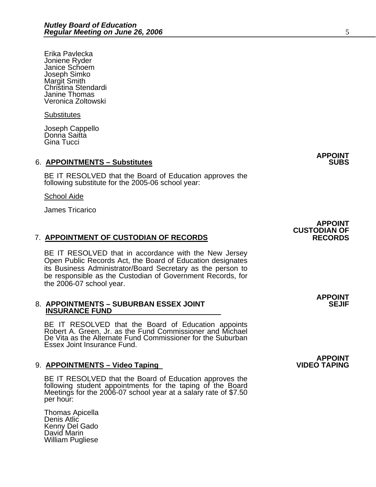Erika Pavlecka Joniene Ryder Janice Schoem Joseph Simko Margit Smith Christina Stendardi Janine Thomas Veronica Zoltowski

**Substitutes** 

Joseph Cappello Donna Saitta Gina Tucci

#### 6. **APPOINTMENTS – Substitutes**

BE IT RESOLVED that the Board of Education approves the following substitute for the 2005-06 school year:

School Aide

James Tricarico

#### 7. **APPOINTMENT OF CUSTODIAN OF RECORDS RECORDS**

BE IT RESOLVED that in accordance with the New Jersey Open Public Records Act, the Board of Education designates its Business Administrator/Board Secretary as the person to be responsible as the Custodian of Government Records, for the 2006-07 school year.

#### 8. APPOINTMENTS - SUBURBAN ESSEX JOINT  **INSURANCE FUND**

BE IT RESOLVED that the Board of Education appoints<br>Robert A. Green, Jr. as the Fund Commissioner and Michael De Vita as the Alternate Fund Commissioner for the Suburban Essex Joint Insurance Fund.

#### 9. **APPOINTMENTS – Video Taping**

BE IT RESOLVED that the Board of Education approves the following student appointments for the taping of the Board Meetings for the 2006-07 school year at a salary rate of \$7.50<br>per hour:

Thomas Apicella Denis Atlic Kenny Del Gado David Marin William Pugliese

**APPOINT CUSTODIAN OF** 

**APPOINT**

**APPOINT**

**APPOINT<br>VIDEO TAPING**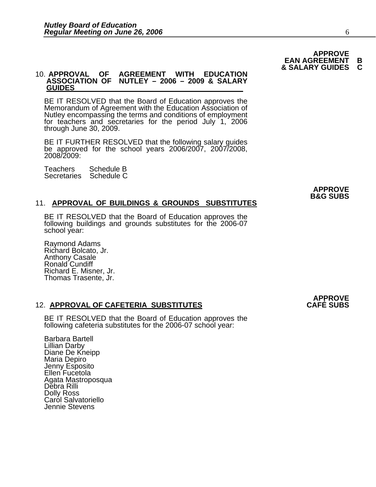#### **& SALARY GUIDES C AGREEMENT WITH EDUCATION ASSOCIATION OF NUTLEY – 2006 – 2009 & SALARY GUIDES**

BE IT RESOLVED that the Board of Education approves the Memorandum of Agreement with the Education Association of Nutley encompassing the terms and conditions of employment for teachers and secretaries for the period July 1, 2006 through June 30, 2009.

BE IT FURTHER RESOLVED that the following salary guides be approved for the school years 2006/2007, 2007/2008, 2008/2009:

Teachers Schedule B Secretaries Schedule C

#### **APPROVE B&G SUBS**

#### 11. **APPROVAL OF BUILDINGS & GROUNDS SUBSTITUTES**

BE IT RESOLVED that the Board of Education approves the following buildings and grounds substitutes for the 2006-07 school year:

Raymond Adams Richard Bolcato, Jr. Anthony Casale Ronald Cundiff Richard E. Misner, Jr. Thomas Trasente, Jr.

#### **12. APPROVAL OF CAFETERIA SUBSTITUTES**

BE IT RESOLVED that the Board of Education approves the following cafeteria substitutes for the 2006-07 school year:

Barbara Bartell Lillian Darby Diane De Kneipp Maria Depiro Jenny Esposito Ellen Fucetola Agata Mastroposqua Debra Rilli Dolly Ross Caról Salvatoriello Jennie Stevens

**APPROVE**

**EAN AGREEMENT B**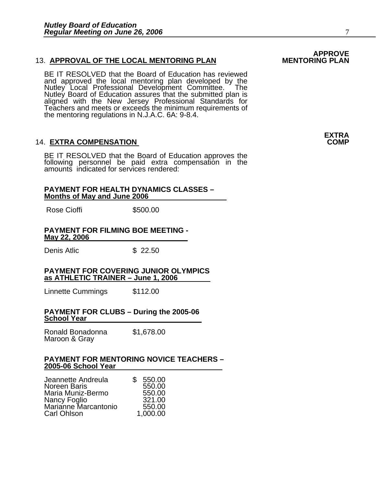#### 13. **APPROVAL OF THE LOCAL MENTORING PLAN**

BE IT RESOLVED that the Board of Education has reviewed and approved the local mentoring plan developed by the<br>Nutley Local Professional Development Committee. The<br>Nutley Board of Education assures that the submitted plan is<br>aligned with the New Jersey Professional Standards fo Teachers and meets or exceeds the minimum requirements of the mentoring regulations in N.J.A.C. 6A: 9-8.4.

#### **14. EXTRA COMPENSATION**

BE IT RESOLVED that the Board of Education approves the<br>following personnel be paid extra compensation in the amounts indicated for services rendered:

#### **PAYMENT FOR HEALTH DYNAMICS CLASSES – Months of May and June 2006**

Rose Cioffi \$500.00

#### **PAYMENT FOR FILMING BOE MEETING - May 22, 2006**

Denis Atlic \$ 22.50

#### **PAYMENT FOR COVERING JUNIOR OLYMPICS as ATHLETIC TRAINER – June 1, 2006**

Linnette Cummings \$112.00

#### **PAYMENT FOR CLUBS – During the 2005-06 School Year**

Ronald Bonadonna \$1,678.00 Maroon & Gray

#### **PAYMENT FOR MENTORING NOVICE TEACHERS – 2005-06 School Year**

| Jeannette Andreula                   | SS. | 550.00   |
|--------------------------------------|-----|----------|
| Noreen Baris                         |     | 550.00   |
| Maria Muniz-Bermo                    |     | 550.00   |
| Nancy Foglio<br>Marianne Marcantonio |     | 321.00   |
|                                      |     | 550.00   |
| Carl Ohlson                          |     | 1,000.00 |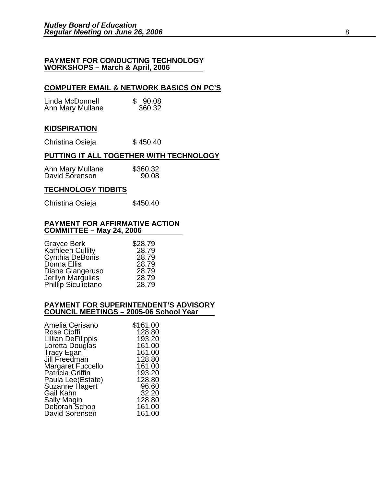#### **PAYMENT FOR CONDUCTING TECHNOLOGY WORKSHOPS – March & April, 2006**

#### **COMPUTER EMAIL & NETWORK BASICS ON PC'S**

| Linda McDonnell  | \$90.08 |
|------------------|---------|
| Ann Mary Mullane | 360.32  |

#### **KIDSPIRATION**

Christina Osieja  $$450.40$ 

#### **PUTTING IT ALL TOGETHER WITH TECHNOLOGY**

| Ann Mary Mullane | \$360.32 |
|------------------|----------|
| David Sorenson   | 90.08    |

#### **TECHNOLOGY TIDBITS**

Christina Osieja  $$450.40$ 

#### **PAYMENT FOR AFFIRMATIVE ACTION COMMITTEE – May 24, 2006**

| <b>Grayce Berk</b>                       | \$28.79 |
|------------------------------------------|---------|
| Kathleen Cullity                         | 28.79   |
| Cynthia DeBonis                          | 28.79   |
| Donna Ellis                              | 28.79   |
| Diane Giangeruso                         | 28.79   |
| Jerilyn Margulies<br>Phillip Siculietano | 28.79   |
|                                          | 28.79   |

#### **PAYMENT FOR SUPERINTENDENT'S ADVISORY COUNCIL MEETINGS – 2005-06 School Year**

| \$161.00 |
|----------|
| 128.80   |
| 193.20   |
| 161.00   |
| 161.00   |
| 128.80   |
| 161.00   |
| 193.20   |
| 128.80   |
| 96.60    |
| 32.20    |
| 128.80   |
| 161.00   |
| 161.00   |
|          |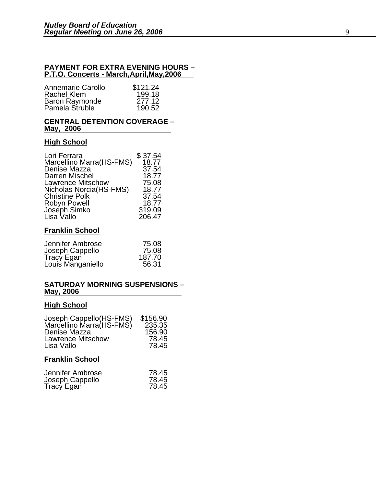#### **PAYMENT FOR EXTRA EVENING HOURS – P.T.O. Concerts - March,April,May,2006**

| Annemarie Carollo     | \$121.24 |
|-----------------------|----------|
| Rachel Klem           | 199.18   |
| <b>Baron Raymonde</b> | 277.12   |
| Pamela Struble        | 190.52   |

#### **CENTRAL DETENTION COVERAGE – May, 2006**

#### **High School**

| \$37.54 |
|---------|
| 18.77   |
| 37.54   |
| 18.77   |
| 75.08   |
| 18.77   |
| 37.54   |
| 18.77   |
| 319.09  |
| 206.47  |
|         |

#### **Franklin School**

| Jennifer Ambrose  | 75.08  |
|-------------------|--------|
| Joseph Cappello   | 75.08  |
| Tracy Egan        | 187.70 |
| Louis Manganiello | 56.31  |

#### **SATURDAY MORNING SUSPENSIONS – May, 2006**

### **High School**

| Joseph Cappello(HS-FMS)<br>Marcellino Marra(HS-FMS)<br>Denise Mazza | \$156.90<br>235.35<br>156.90 |
|---------------------------------------------------------------------|------------------------------|
| <b>Lawrence Mitschow</b><br>Lisa Vallo                              | 78.45<br>78.45               |
| <b>Franklin School</b>                                              |                              |

| Jennifer Ambrose | 78.45 |
|------------------|-------|
| Joseph Cappello  | 78.45 |
| Tracy Egan       | 78.45 |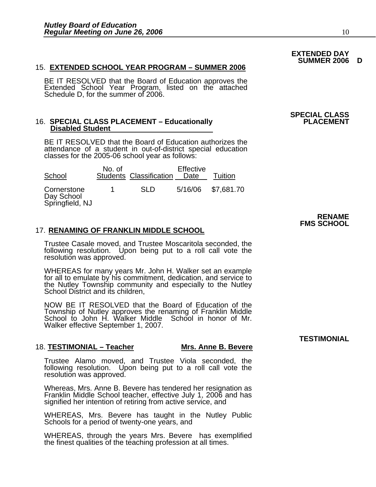#### 15. **EXTENDED SCHOOL YEAR PROGRAM – SUMMER 2006**

BE IT RESOLVED that the Board of Education approves the<br>Extended School Year Program, listed on the attached Schedule D, for the summer of 2006.

#### 16. **SPECIAL CLASS PLACEMENT - Educationally Disabled Student**

BE IT RESOLVED that the Board of Education authorizes the attendance of a student in out-of-district special education classes for the 2005-06 school year as follows:

| School                                       | No. of | <b>Students Classification</b> | <b>Effective</b><br>Date | Tuition            |
|----------------------------------------------|--------|--------------------------------|--------------------------|--------------------|
| Cornerstone<br>Day School<br>Springfield, NJ |        | SI D                           |                          | 5/16/06 \$7,681.70 |

#### 17. **RENAMING OF FRANKLIN MIDDLE SCHOOL**

Trustee Casale moved, and Trustee Moscaritola seconded, the following resolution. Upon being put to a roll call vote the resolution was approved.

WHEREAS for many years Mr. John H. Walker set an example for all to emulate by his commitment, dedication, and service to the Nutley Township community and especially to the Nutley School District and its children,

NOW BE IT RESOLVED that the Board of Education of the Township of Nutley approves the renaming of Franklin Middle School to John H. Walker Middle School in honor of Mr. Walker effective September 1, 2007.

#### 18. **TESTIMONIAL – Teacher Mrs. Anne B. Bevere**

Trustee Alamo moved, and Trustee Viola seconded, the following resolution. Upon being put to a roll call vote the resolution was approved.

Whereas, Mrs. Anne B. Bevere has tendered her resignation as Franklin Middle School teacher, effective July 1, 2006 and has signified her intention of retiring from active service, and

WHEREAS, Mrs. Bevere has taught in the Nutley Public Schools for a period of twenty-one years, and

WHEREAS, through the years Mrs. Bevere has exemplified the finest qualities of the teaching profession at all times.

#### **EXTENDED DAY SUMMER 2006 D**

### **SPECIAL CLASS**

#### **RENAME FMS SCHOOL**

#### **TESTIMONIAL**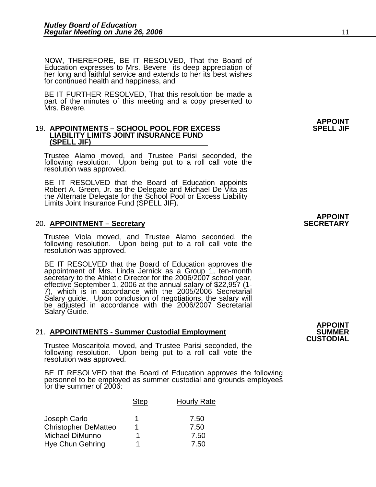NOW, THEREFORE, BE IT RESOLVED, That the Board of Education expresses to Mrs. Bevere its deep appreciation of her long and faithful service and extends to her its best wishes for continued health and happiness, and

BE IT FURTHER RESOLVED, That this resolution be made a part of the minutes of this meeting and a copy presented to Mrs. Bevere.

#### 19. **APPOINTMENTS – SCHOOL POOL FOR EXCESS LIABILITY LIMITS JOINT INSURANCE FUND (SPELL JIF)**

Trustee Alamo moved, and Trustee Parisi seconded, the following resolution. Upon being put to a roll call vote the resolution was approved.

BE IT RESOLVED that the Board of Education appoints Robert A. Green, Jr. as the Delegate and Michael De Vita as the Alternate Delegate for the School Pool or Excess Liability Limits Joint Insurance Fund (SPELL JIF).

#### 20. **APPOINTMENT – Secretary**

Trustee Viola moved, and Trustee Alamo seconded, the following resolution. Upon being put to a roll call vote the resolution was approved.

BE IT RESOLVED that the Board of Education approves the appointment of Mrs. Linda Jernick as a Group 1, ten-month secretary to the Athletic Director for the 2006/2007 school year, effective September 1, 2006 at the annual Salary guide. Upon conclusion of negotiations, the salary will<br>be adjusted in accordance with the 2006/2007 Secretarial Salary Guide.

#### 21. APPOINTMENTS - Summer Custodial Employment **SUMMER**

Trustee Moscaritola moved, and Trustee Parisi seconded, the following resolution. Upon being put to a roll call vote the resolution was approved.

BE IT RESOLVED that the Board of Education approves the following<br>personnel to be employed as summer custodial and grounds employees for the summer of 2006:

|                             | <b>Step</b> | <b>Hourly Rate</b> |
|-----------------------------|-------------|--------------------|
| Joseph Carlo                |             | 7.50               |
| <b>Christopher DeMatteo</b> |             | 7.50               |
| Michael DiMunno             |             | 7.50               |
| <b>Hye Chun Gehring</b>     | л           | 7.50               |

**APPOINT**

## **APPOINT<br>SECRETARY**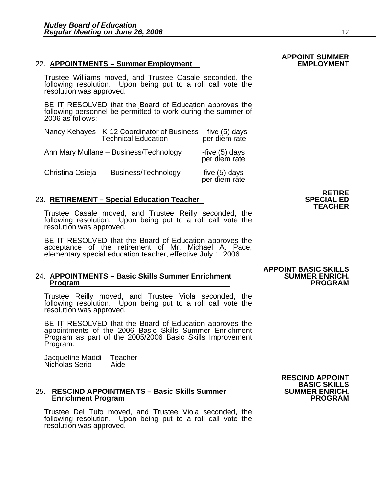#### 22. **APPOINTMENTS – Summer Employment**

Trustee Williams moved, and Trustee Casale seconded, the following resolution. Upon being put to a roll call vote the resolution was approved.

BE IT RESOLVED that the Board of Education approves the following personnel be permitted to work during the summer of 2006 as follows:

|                  | Nancy Kehayes -K-12 Coordinator of Business<br>Technical Education | -five (5) days<br>per diem rate |
|------------------|--------------------------------------------------------------------|---------------------------------|
|                  | Ann Mary Mullane - Business/Technology                             | -five (5) days<br>per diem rate |
| Christina Osieja | - Business/Technology                                              | -five (5) days<br>per diem rate |

#### 23. **RETIREMENT – Special Education Teacher**

Trustee Casale moved, and Trustee Reilly seconded, the following resolution. Upon being put to a roll call vote the resolution was approved.

BE IT RESOLVED that the Board of Education approves the acceptance of the retirement of Mr. Michael A. Pace, elementary special education teacher, effective July 1, 2006.

### 24. **APPOINTMENTS – Basic Skills Summer Enrichment SUMMER ENRICH. Program PROGRAM**

Trustee Reilly moved, and Trustee Viola seconded, the following resolution. Upon being put to a roll call vote the resolution was approved.

BE IT RESOLVED that the Board of Education approves the appointments of the 2006 Basic Skills Summer Enrichment Program as part of the 2005/2006 Basic Skills Improvement Program:

Jacqueline Maddi - Teacher Nicholas Serio - Aide

### 25. **RESCIND APPOINTMENTS – Basic Skills Summer SUMMER ENRICH. Enrichment Program PROGRAM**

Trustee Del Tufo moved, and Trustee Viola seconded, the following resolution. Upon being put to a roll call vote the resolution was approved.

# **APPOINT BASIC SKILLS**



## **APPOINT SUMMER**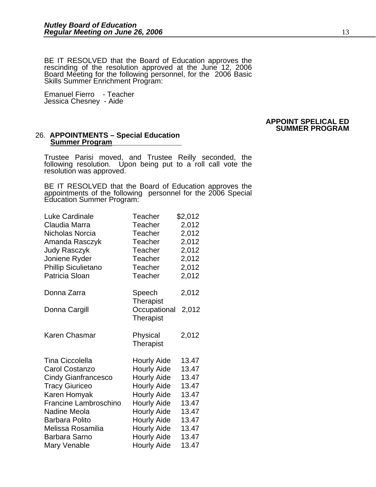BE IT RESOLVED that the Board of Education approves the rescinding of the resolution approved at the June 12, 2006 Board Meeting for the following personnel, for the 2006 Basic Skills Summer Enrichment Program:

Emanuel Fierro - Teacher Jessica Chesney - Aide

#### **APPOINT SPELICAL ED SUMMER PROGRAM**

#### 26. **APPOINTMENTS – Special Education Summer Program\_\_\_\_\_\_\_\_\_\_\_\_\_\_\_\_\_**

Trustee Parisi moved, and Trustee Reilly seconded, the following resolution. Upon being put to a roll call vote the resolution was approved.

BE IT RESOLVED that the Board of Education approves the appointments of the following personnel for the 2006 Special Education Summer Program:

| <b>Luke Cardinale</b>        | Teacher                          | \$2,012 |
|------------------------------|----------------------------------|---------|
| Claudia Marra                | Teacher                          | 2,012   |
| Nicholas Norcia              | Teacher                          | 2,012   |
| Amanda Rasczyk               | Teacher                          | 2,012   |
| <b>Judy Rasczyk</b>          | Teacher                          | 2,012   |
| Joniene Ryder                | Teacher                          | 2,012   |
| Phillip Siculietano          | Teacher                          | 2,012   |
| Patricia Sloan               | Teacher                          | 2,012   |
| Donna Zarra                  | Speech<br><b>Therapist</b>       | 2,012   |
| Donna Cargill                | Occupational<br><b>Therapist</b> | 2,012   |
| <b>Karen Chasmar</b>         | Physical<br>Therapist            | 2,012   |
| <b>Tina Ciccolella</b>       | <b>Hourly Aide</b>               | 13.47   |
| <b>Carol Costanzo</b>        | <b>Hourly Aide</b>               | 13.47   |
| <b>Cindy Gianfrancesco</b>   | <b>Hourly Aide</b>               | 13.47   |
| <b>Tracy Giuriceo</b>        | <b>Hourly Aide</b>               | 13.47   |
| Karen Homyak                 | <b>Hourly Aide</b>               | 13.47   |
| <b>Francine Lambroschino</b> | <b>Hourly Aide</b>               | 13.47   |
| Nadine Meola                 | <b>Hourly Aide</b>               | 13.47   |
| <b>Barbara Polito</b>        | <b>Hourly Aide</b>               | 13.47   |
| Melissa Rosamilia            | <b>Hourly Aide</b>               | 13.47   |
| <b>Barbara Sarno</b>         | <b>Hourly Aide</b>               | 13.47   |
| Mary Venable                 | <b>Hourly Aide</b>               | 13.47   |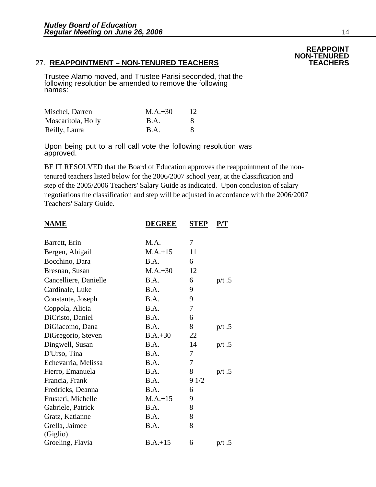#### 27. **REAPPOINTMENT – NON-TENURED TEACHERS TEACHERS**

Trustee Alamo moved, and Trustee Parisi seconded, that the following resolution be amended to remove the following names:

| Mischel, Darren    | $M.A.+30$   | 12           |
|--------------------|-------------|--------------|
| Moscaritola, Holly | <b>B.A.</b> | <sup>8</sup> |
| Reilly, Laura      | <b>B.A.</b> | 8            |

Upon being put to a roll call vote the following resolution was approved.

BE IT RESOLVED that the Board of Education approves the reappointment of the nontenured teachers listed below for the 2006/2007 school year, at the classification and step of the 2005/2006 Teachers' Salary Guide as indicated. Upon conclusion of salary negotiations the classification and step will be adjusted in accordance with the 2006/2007 Teachers' Salary Guide.

| <u>NAME</u>           | <b>DEGREE</b> | <b>STEP</b> | <u>P/T</u> |
|-----------------------|---------------|-------------|------------|
| Barrett, Erin         | M.A.          | 7           |            |
| Bergen, Abigail       | $M.A.+15$     | 11          |            |
| Bocchino, Dara        | <b>B.A.</b>   | 6           |            |
| Bresnan, Susan        | $M.A.+30$     | 12          |            |
| Cancelliere, Danielle | B.A.          | 6           | $p/t$ .5   |
| Cardinale, Luke       | B.A.          | 9           |            |
| Constante, Joseph     | B.A.          | 9           |            |
| Coppola, Alicia       | B.A.          | 7           |            |
| DiCristo, Daniel      | B.A.          | 6           |            |
| DiGiacomo, Dana       | B.A.          | 8           | $p/t$ .5   |
| DiGregorio, Steven    | $B.A.+30$     | 22          |            |
| Dingwell, Susan       | B.A.          | 14          | $p/t$ .5   |
| D'Urso, Tina          | B.A.          | 7           |            |
| Echevarria, Melissa   | B.A.          | 7           |            |
| Fierro, Emanuela      | B.A.          | 8           | $p/t$ .5   |
| Francia, Frank        | B.A.          | 91/2        |            |
| Fredricks, Deanna     | B.A.          | 6           |            |
| Frusteri, Michelle    | $M.A.+15$     | 9           |            |
| Gabriele, Patrick     | B.A.          | 8           |            |
| Gratz, Katianne       | B.A.          | 8           |            |
| Grella, Jaimee        | B.A.          | 8           |            |
| (Giglio)              |               |             |            |
| Groeling, Flavia      | $B.A.+15$     | 6           | p/t.5      |

### **REAPPOINT NON-TENURED**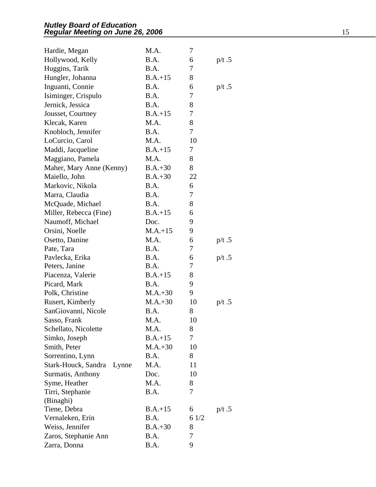| Hardie, Megan                | M.A.      | 7    |          |
|------------------------------|-----------|------|----------|
| Hollywood, Kelly             | B.A.      | 6    | $p/t$ .5 |
| Huggins, Tarik               | B.A.      | 7    |          |
| Hungler, Johanna             | $B.A.+15$ | 8    |          |
| Inguanti, Connie             | B.A.      | 6    | $p/t$ .5 |
| Isiminger, Crispulo          | B.A.      | 7    |          |
| Jernick, Jessica             | B.A.      | 8    |          |
| Jousset, Courtney            | $B.A.+15$ | 7    |          |
| Klecak, Karen                | M.A.      | 8    |          |
| Knobloch, Jennifer           | B.A.      | 7    |          |
| LoCurcio, Carol              | M.A.      | 10   |          |
| Maddi, Jacqueline            | $B.A.+15$ | 7    |          |
| Maggiano, Pamela             | M.A.      | 8    |          |
| Maher, Mary Anne (Kenny)     | $B.A.+30$ | 8    |          |
| Maiello, John                | $B.A.+30$ | 22   |          |
| Markovic, Nikola             | B.A.      | 6    |          |
| Marra, Claudia               | B.A.      | 7    |          |
| McQuade, Michael             | B.A.      | 8    |          |
| Miller, Rebecca (Fine)       | $B.A.+15$ | 6    |          |
| Naumoff, Michael             | Doc.      | 9    |          |
| Orsini, Noelle               | $M.A.+15$ | 9    |          |
| Osetto, Danine               | M.A.      | 6    | $p/t$ .5 |
| Pate, Tara                   | B.A.      | 7    |          |
| Pavlecka, Erika              | B.A.      | 6    | $p/t$ .5 |
| Peters, Janine               | B.A.      | 7    |          |
| Piacenza, Valerie            | $B.A.+15$ | 8    |          |
| Picard, Mark                 | B.A.      | 9    |          |
| Polk, Christine              | $M.A.+30$ | 9    |          |
| Rusert, Kimberly             | $M.A.+30$ | 10   | $p/t$ .5 |
| SanGiovanni, Nicole          | B.A.      | 8    |          |
| Sasso, Frank                 | M.A.      | 10   |          |
| Schellato, Nicolette         | M.A.      | 8    |          |
| Simko, Joseph                | $B.A.+15$ | 7    |          |
| Smith, Peter                 | $M.A.+30$ | 10   |          |
| Sorrentino, Lynn             | B.A.      | 8    |          |
| Stark-Houck, Sandra<br>Lynne | M.A.      | 11   |          |
| Surmatis, Anthony            | Doc.      | 10   |          |
| Syme, Heather                | M.A.      | 8    |          |
| Tirri, Stephanie             | B.A.      | 7    |          |
| (Binaghi)                    |           |      |          |
| Tiene, Debra                 | $B.A.+15$ | 6    | $p/t$ .5 |
| Vernaleken, Erin             | B.A.      | 61/2 |          |
| Weiss, Jennifer              | $B.A.+30$ | 8    |          |
| Zaros, Stephanie Ann         | B.A.      | 7    |          |
| Zarra, Donna                 | B.A.      | 9    |          |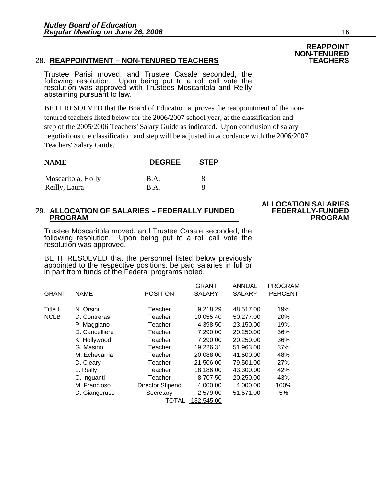#### 28. **REAPPOINTMENT – NON-TENURED TEACHERS TEACHERS**

Trustee Parisi moved, and Trustee Casale seconded, the following resolution. Upon being put to a roll call vote the<br>resolution was approved with Trustees Moscaritola and Reilly<br>abstaining pursuant to law.

BE IT RESOLVED that the Board of Education approves the reappointment of the nontenured teachers listed below for the 2006/2007 school year, at the classification and step of the 2005/2006 Teachers' Salary Guide as indicated. Upon conclusion of salary negotiations the classification and step will be adjusted in accordance with the 2006/2007 Teachers' Salary Guide.

| <b>NAME</b>        | <b>DEGREE</b> | <b>STEP</b> |
|--------------------|---------------|-------------|
| Moscaritola, Holly | B.A.          | x           |
| Reilly, Laura      | B.A.          | x           |

## 29. **ALLOCATION OF SALARIES – FEDERALLY FUNDED FEDERALLY-FUNDED PROGRAM PROGRAM**

# **ALLOCATION SALARIES**

Trustee Moscaritola moved, and Trustee Casale seconded, the following resolution. Upon being put to a roll call vote the resolution was approved.

BE IT RESOLVED that the personnel listed below previously appointed to the respective positions, be paid salaries in full or in part from funds of the Federal programs noted.

|              |                |                         | <b>GRANT</b>  | <b>ANNUAL</b> | <b>PROGRAM</b> |
|--------------|----------------|-------------------------|---------------|---------------|----------------|
| <b>GRANT</b> | <b>NAME</b>    | <b>POSITION</b>         | <b>SALARY</b> | <b>SALARY</b> | <b>PERCENT</b> |
|              |                |                         |               |               |                |
| Title I      | N. Orsini      | Teacher                 | 9,218.29      | 48,517.00     | 19%            |
| <b>NCLB</b>  | D. Contreras   | Teacher                 | 10,055.40     | 50,277.00     | 20%            |
|              | P. Maggiano    | Teacher                 | 4,398.50      | 23,150.00     | 19%            |
|              | D. Cancelliere | Teacher                 | 7,290.00      | 20,250.00     | 36%            |
|              | K. Hollywood   | Teacher                 | 7,290.00      | 20,250.00     | 36%            |
|              | G. Masino      | Teacher                 | 19,226.31     | 51,963.00     | 37%            |
|              | M. Echevarria  | Teacher                 | 20,088.00     | 41,500.00     | 48%            |
|              | D. Cleary      | Teacher                 | 21,506.00     | 79,501.00     | 27%            |
|              | L. Reilly      | Teacher                 | 18,186.00     | 43,300.00     | 42%            |
|              | C. Inguanti    | Teacher                 | 8,707.50      | 20,250.00     | 43%            |
|              | M. Francioso   | <b>Director Stipend</b> | 4,000.00      | 4.000.00      | 100%           |
|              | D. Giangeruso  | Secretary               | 2,579.00      | 51,571.00     | 5%             |
|              |                | TOTAL                   | 132,545.00    |               |                |

### **REAPPOINT NON-TENURED**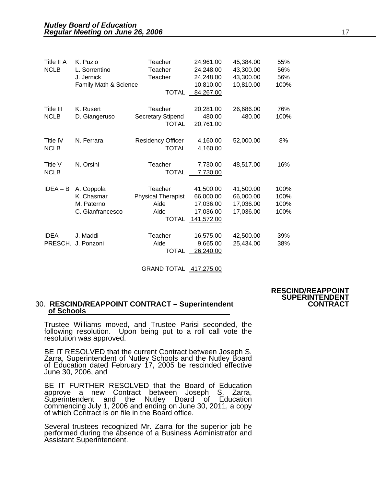| Title II A<br><b>NCLB</b> | K. Puzio<br>L. Sorrentino<br>J. Jernick<br>Family Math & Science | Teacher<br>Teacher<br>Teacher<br><b>TOTAL</b>                 | 24,961.00<br>24,248.00<br>24,248.00<br>10,810.00<br>84,267.00  | 45,384.00<br>43,300.00<br>43,300.00<br>10,810.00 | 55%<br>56%<br>56%<br>100%    |
|---------------------------|------------------------------------------------------------------|---------------------------------------------------------------|----------------------------------------------------------------|--------------------------------------------------|------------------------------|
| Title III<br><b>NCLB</b>  | K. Rusert<br>D. Giangeruso                                       | Teacher<br><b>Secretary Stipend</b><br><b>TOTAL</b>           | 20,281.00<br>480.00<br>20,761.00                               | 26,686.00<br>480.00                              | 76%<br>100%                  |
| Title IV<br><b>NCLB</b>   | N. Ferrara                                                       | <b>Residency Officer</b><br><b>TOTAL</b>                      | 4,160.00<br>4,160.00                                           | 52,000.00                                        | 8%                           |
| Title V<br><b>NCLB</b>    | N. Orsini                                                        | Teacher<br><b>TOTAL</b>                                       | 7,730.00<br>7,730.00                                           | 48,517.00                                        | 16%                          |
| $IDEA - B$                | A. Coppola<br>K. Chasmar<br>M. Paterno<br>C. Gianfrancesco       | Teacher<br><b>Physical Therapist</b><br>Aide<br>Aide<br>TOTAL | 41.500.00<br>66,000.00<br>17,036.00<br>17,036.00<br>141,572.00 | 41,500.00<br>66,000.00<br>17,036.00<br>17,036.00 | 100%<br>100%<br>100%<br>100% |
| <b>IDEA</b><br>PRESCH.    | J. Maddi<br>J. Ponzoni                                           | Teacher<br>Aide<br>TOTAL                                      | 16,575.00<br>9,665.00<br>26,240.00                             | 42,500.00<br>25,434.00                           | 39%<br>38%                   |

GRAND TOTAL 417,275.00

#### 30. **RESCIND/REAPPOINT CONTRACT – Superintendent CONTRACT of Schools**

Trustee Williams moved, and Trustee Parisi seconded, the following resolution. Upon being put to a roll call vote the resolution was approved.

BE IT RESOLVED that the current Contract between Joseph S. Zarra, Superintendent of Nutley Schools and the Nutley Board of Education dated February 17, 2005 be rescinded effective June 30, 2006, and

BE IT FURTHER RESOLVED that the Board of Education approve a new Contract between Joseph S. Zarra,<br>Superintendent and the Nutley Board of Education<br>commencing July 1, 2006 and ending on June 30, 2011, a copy of which Contract is on file in the Board office.

Several trustees recognized Mr. Zarra for the superior job he performed during the absence of a Business Administrator and Assistant Superintendent.

### **RESCIND/REAPPOINT SUPERINTENDENT**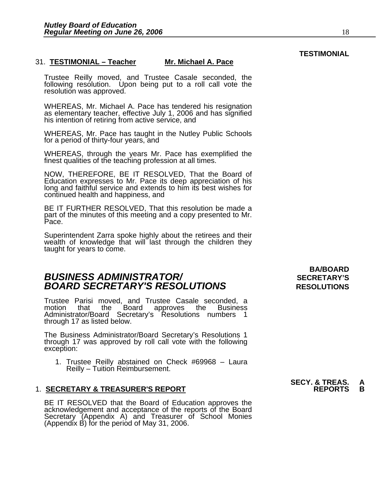#### 31. **TESTIMONIAL – Teacher Mr. Michael A. Pace**

Trustee Reilly moved, and Trustee Casale seconded, the following resolution. Upon being put to a roll call vote the<br>resolution was approved.

WHEREAS, Mr. Michael A. Pace has tendered his resignation as elementary teacher, effective July 1, 2006 and has signified his intention of retiring from active service, and

WHEREAS, Mr. Pace has taught in the Nutley Public Schools for a period of thirty-four years, and

WHEREAS, through the years Mr. Pace has exemplified the finest qualities of the teaching profession at all times.

NOW, THEREFORE, BE IT RESOLVED, That the Board of Education expresses to Mr. Pace its deep appreciation of his long and faithful service and extends to him its best wishes for continued health and happiness, and

BE IT FURTHER RESOLVED, That this resolution be made a part of the minutes of this meeting and a copy presented to Mr. Pace.

Superintendent Zarra spoke highly about the retirees and their wealth of knowledge that will last through the children they taught for years to come.

### **BUSINESS ADMINISTRATOR/** *BUSINESS ADMINISTRATOR/* **BOARD SECRETARY'S RESOLUTIONS** RESOLUTIONS

Trustee Parisi moved, and Trustee Casale seconded, a Board approves the Business Administrator/Board Secretary's Resolutions numbers 1 through 17 as listed below.

The Business Administrator/Board Secretary's Resolutions 1 through 17 was approved by roll call vote with the following exception:

1. Trustee Reilly abstained on Check #69968 – Laura Reilly – Tuition Reimbursement.

#### **1. SECRETARY & TREASURER'S REPORT**

BE IT RESOLVED that the Board of Education approves the acknowledgement and acceptance of the reports of the Board Secretary (Appendix A) and Treasurer of School Monies (Appendix B) for the period of May 31, 2006.

**BA/BOARD** 

### **SECY. & TREAS.**<br>REPORTS

### **TESTIMONIAL**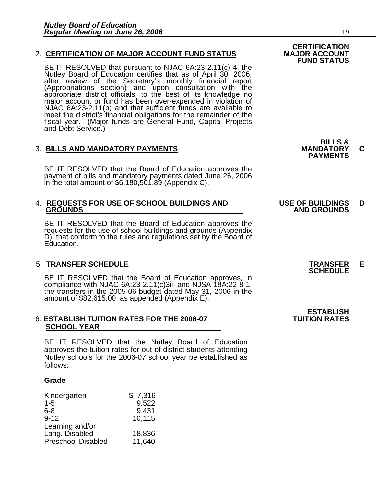#### 2. **CERTIFICATION OF MAJOR ACCOUNT FUND STATUS**

BE IT RESOLVED that pursuant to NJAC 6A:23-2.11(c) 4, the<br>Nutley Board of Education certifies that as of April 30, 2006,<br>after review of the Secretary's monthly financial report<br>(Appropriations section) and upon consultati meet the district's financial obligations for the remainder of the fiscal year. (Major funds are General Fund, Capital Projects and Debt Service.)

### 3. **BILLS AND MANDATORY PAYMENTS MANDATORY C PAYMENTS**

BE IT RESOLVED that the Board of Education approves the payment of bills and mandatory payments dated June 26, 2006 in the total amount of \$6,180,501.89 (Appendix C).

### 4. **REQUESTS FOR USE OF SCHOOL BUILDINGS AND USE OF BUILDINGS D**

BE IT RESOLVED that the Board of Education approves the requests for the use of school buildings and grounds (Appendix D), that conform to the rules and regulations set by the Board of Education.

5. TRANSFER SCHEDULE<br>
BE IT RESOLVED that the Board of Education approves, in **SCHEDULE** compliance with NJAC 6A:23-2.11(c)3ii, and NJSA 18A:22-8-1, the transfers in the 2005-06 budget dated May 31, 2006 in the amount of \$82,615.00 as appended (Appendix E).

#### 6. **ESTABLISH TUITION RATES FOR THE 2006-07 TUITION RATES SCHOOL YEAR**

BE IT RESOLVED that the Nutley Board of Education approves the tuition rates for out-of-district students attending Nutley schools for the 2006-07 school year be established as follows:

#### **Grade**

| Kindergarten              | \$7,316 |
|---------------------------|---------|
| $1 - 5$                   | 9,522   |
| $6 - 8$                   | 9,431   |
| $9 - 12$                  | 10,115  |
| Learning and/or           |         |
| Lang. Disabled            | 18,836  |
| <b>Preschool Disabled</b> | 11,640  |

**BILLS &** 

## **GROUNDS AND GROUNDS**

**ESTABLISH**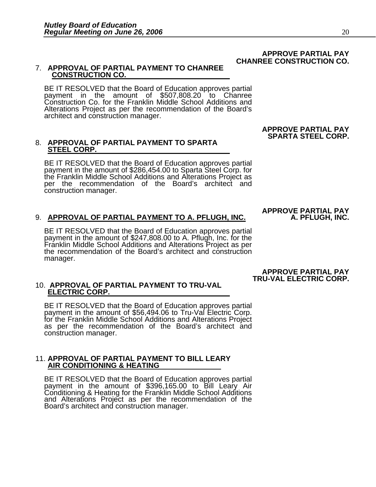#### **APPROVE PARTIAL PAY CHANREE CONSTRUCTION CO.**

### 7. **APPROVAL OF PARTIAL PAYMENT TO CHANREE CONSTRUCTION CO.**

BE IT RESOLVED that the Board of Education approves partial payment in the amount of \$507,808.20 to Chanree Construction Co. for the Franklin Middle School Additions and Alterations Project as per the recommendation of the Board's architect and construction manager.

## 8. **APPROVAL OF PARTIAL PAYMENT TO SPARTA STEEL CORP.**

BE IT RESOLVED that the Board of Education approves partial payment in the amount of \$286,454.00 to Sparta Steel Corp. for the Franklin Middle School Additions and Alterations Project as per the recommendation of the Board's architect and construction manager.

#### 9. **APPROVAL OF PARTIAL PAYMENT TO A. PFLUGH, INC. A. PFLUGH, INC.**

BE IT RESOLVED that the Board of Education approves partial payment in the amount of \$247,808.00 to A. Pflugh, Inc. for the Franklin Middle School Additions and Alterations Project as per the recommendation of the Board's architect and construction manager.

### 10. **APPROVAL OF PARTIAL PAYMENT TO TRU-VAL ELECTRIC CORP.**

BE IT RESOLVED that the Board of Education approves partial payment in the amount of \$56,494.06 to Tru-Val Electric Corp.<br>for the Franklin Middle School Additions and Alterations Project<br>as per the recommendation of the Board's architect and construction manager.

### 11. **APPROVAL OF PARTIAL PAYMENT TO BILL LEARY AIR CONDITIONING & HEATING**

BE IT RESOLVED that the Board of Education approves partial payment in the amount of \$396,165.00 to Bill Leary Air Conditioning & Heating for the Franklin Middle School Additions and Alterations Project as per the recommendation of the Board's architect and construction manager.

 **APPROVE PARTIAL PAY TRU-VAL ELECTRIC CORP.** 

**APPROVE PARTIAL PAY SPARTA STEEL CORP.** 

**APPROVE PARTIAL PAY**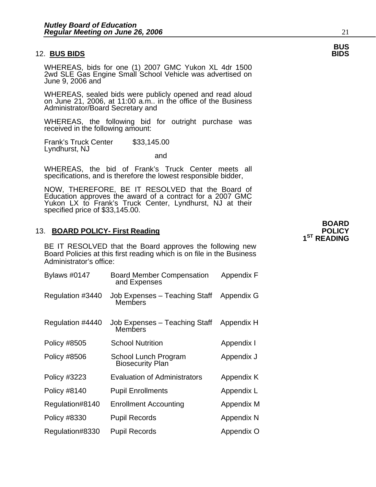#### 12. **BUS BIDS**

WHEREAS, bids for one (1) 2007 GMC Yukon XL 4dr 1500 2wd SLE Gas Engine Small School Vehicle was advertised on June 9, 2006 and

WHEREAS, sealed bids were publicly opened and read aloud on June 21, 2006, at 11:00 a.m.. in the office of the Business Administrator/Board Secretary and

WHEREAS, the following bid for outright purchase was received in the following amount:

Frank's Truck Center \$33,145.00 Lyndhurst, NJ<br>and

WHEREAS, the bid of Frank's Truck Center meets all specifications, and is therefore the lowest responsible bidder,

NOW, THEREFORE, BE IT RESOLVED that the Board of Education approves the award of a contract for a 2007 GMC Yukon LX to Frank's Truck Center, Lyndhurst, NJ at their specified price of \$33,145.00.

#### 13. **BOARD POLICY- First Reading POLICY POLICY**

BE IT RESOLVED that the Board approves the following new Board Policies at this first reading which is on file in the Business Administrator's office:

| <b>Bylaws #0147</b> | <b>Board Member Compensation</b><br>and Expenses | Appendix F |
|---------------------|--------------------------------------------------|------------|
| Regulation #3440    | Job Expenses - Teaching Staff<br><b>Members</b>  | Appendix G |
| Regulation #4440    | Job Expenses – Teaching Staff<br>Members         | Appendix H |
| <b>Policy #8505</b> | <b>School Nutrition</b>                          | Appendix I |
| Policy #8506        | School Lunch Program<br><b>Biosecurity Plan</b>  | Appendix J |
| <b>Policy #3223</b> | <b>Evaluation of Administrators</b>              | Appendix K |
| <b>Policy #8140</b> | <b>Pupil Enrollments</b>                         | Appendix L |
| Regulation#8140     | <b>Enrollment Accounting</b>                     | Appendix M |
| Policy #8330        | Pupil Records                                    | Appendix N |
| Regulation#8330     | <b>Pupil Records</b>                             | Appendix O |

 **BOARD 1ST READING** 

# **BUS**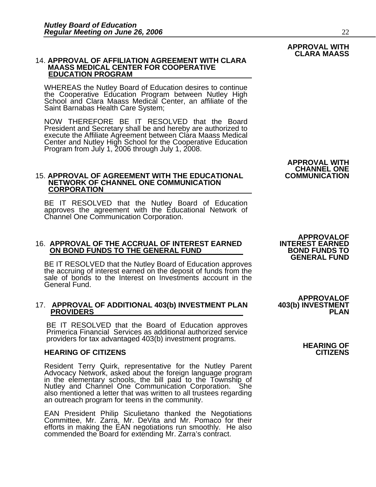# 14. **APPROVAL OF AFFILIATION AGREEMENT WITH CLARA MAASS MEDICAL CENTER FOR COOPERATIVE EDUCATION PROGRAM**

WHEREAS the Nutley Board of Education desires to continue the Cooperative Education Program between Nutley High School and Clara Maass Medical Center, an affiliate of the Saint Barnabas Health Care System;

NOW THEREFORE BE IT RESOLVED that the Board<br>President and Secretary shall be and hereby are authorized to President and Secretary shall be and hereby are authorized to<br>execute the Affiliate Agreement between Clara Maass Medical Center and Nutley High School for the Cooperative Education<br>Program from July 1, 2006 through July 1, 2008.

#### **15. APPROVAL OF AGREEMENT WITH THE EDUCATIONAL NETWORK OF CHANNEL ONE COMMUNICATION CORPORATION**

BE IT RESOLVED that the Nutley Board of Education approves the agreement with the Educational Network of Channel One Communication Corporation.

# **APPROVALOF**

ON BOND FUNDS TO THE GENERAL FUND<br>BE IT RESOLVED that the Nutley Board of Education approves<br>the accruing of interest earned on the deposit of funds from the sale of bonds to the Interest on Investments account in the General Fund.

### 17. **APPROVAL OF ADDITIONAL 403(b) INVESTMENT PLAN 403(b) INVESTMENT PROVIDERS PLAN**

BE IT RESOLVED that the Board of Education approves Primerica Financial Services as additional authorized service providers for tax advantaged 403(b) investment programs.<br>**HEARING OF CITIZENS HEARING OF** 

#### **HEARING OF CITIZENS CITIZENS**

Resident Terry Quirk, representative for the Nutley Parent<br>Advocacy Network, asked about the foreign language program<br>in the elementary schools, the bill paid to the Township of<br>Nutley and Channel One Communication Corpora

EAN President Philip Siculietano thanked the Negotiations Committee, Mr. Zarra, Mr. DeVita and Mr. Pomaco for their efforts in making the EAN negotiations run smoothly. He also<br>commended the Board for extending Mr. Zarra's contract.

 **APPROVAL WITH CHANNEL ONE** 

**APPROVALOF**<br>**403(b) INVESTMENT** 

#### **APPROVAL WITH CLARA MAASS**